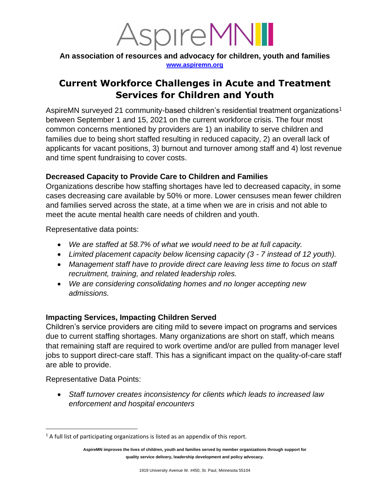

**An association of resources and advocacy for children, youth and families [www.aspiremn.org](http://www.aspiremn.org/)**

# **Current Workforce Challenges in Acute and Treatment Services for Children and Youth**

AspireMN surveyed 21 community-based children's residential treatment organizations<sup>1</sup> between September 1 and 15, 2021 on the current workforce crisis. The four most common concerns mentioned by providers are 1) an inability to serve children and families due to being short staffed resulting in reduced capacity, 2) an overall lack of applicants for vacant positions, 3) burnout and turnover among staff and 4) lost revenue and time spent fundraising to cover costs.

## **Decreased Capacity to Provide Care to Children and Families**

Organizations describe how staffing shortages have led to decreased capacity, in some cases decreasing care available by 50% or more. Lower censuses mean fewer children and families served across the state, at a time when we are in crisis and not able to meet the acute mental health care needs of children and youth.

Representative data points:

- *We are staffed at 58.7% of what we would need to be at full capacity.*
- *Limited placement capacity below licensing capacity (3 - 7 instead of 12 youth).*
- *Management staff have to provide direct care leaving less time to focus on staff recruitment, training, and related leadership roles.*
- *We are considering consolidating homes and no longer accepting new admissions.*

## **Impacting Services, Impacting Children Served**

Children's service providers are citing mild to severe impact on programs and services due to current staffing shortages. Many organizations are short on staff, which means that remaining staff are required to work overtime and/or are pulled from manager level jobs to support direct-care staff. This has a significant impact on the quality-of-care staff are able to provide.

Representative Data Points:

• *Staff turnover creates inconsistency for clients which leads to increased law enforcement and hospital encounters* 

 $1$  A full list of participating organizations is listed as an appendix of this report.

**AspireMN improves the lives of children, youth and families served by member organizations through support for quality service delivery, leadership development and policy advocacy.**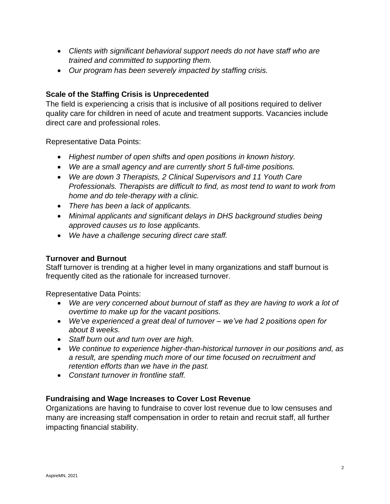- *Clients with significant behavioral support needs do not have staff who are trained and committed to supporting them.*
- *Our program has been severely impacted by staffing crisis.*

### **Scale of the Staffing Crisis is Unprecedented**

The field is experiencing a crisis that is inclusive of all positions required to deliver quality care for children in need of acute and treatment supports. Vacancies include direct care and professional roles.

Representative Data Points:

- *Highest number of open shifts and open positions in known history.*
- *We are a small agency and are currently short 5 full-time positions.*
- *We are down 3 Therapists, 2 Clinical Supervisors and 11 Youth Care Professionals. Therapists are difficult to find, as most tend to want to work from home and do tele-therapy with a clinic.*
- *There has been a lack of applicants.*
- *Minimal applicants and significant delays in DHS background studies being approved causes us to lose applicants.*
- *We have a challenge securing direct care staff.*

#### **Turnover and Burnout**

Staff turnover is trending at a higher level in many organizations and staff burnout is frequently cited as the rationale for increased turnover.

Representative Data Points:

- We are very concerned about burnout of staff as they are having to work a lot of *overtime to make up for the vacant positions.*
- *We've experienced a great deal of turnover – we've had 2 positions open for about 8 weeks.*
- *Staff burn out and turn over are high.*
- *We continue to experience higher-than-historical turnover in our positions and, as a result, are spending much more of our time focused on recruitment and retention efforts than we have in the past.*
- *Constant turnover in frontline staff.*

#### **Fundraising and Wage Increases to Cover Lost Revenue**

Organizations are having to fundraise to cover lost revenue due to low censuses and many are increasing staff compensation in order to retain and recruit staff, all further impacting financial stability.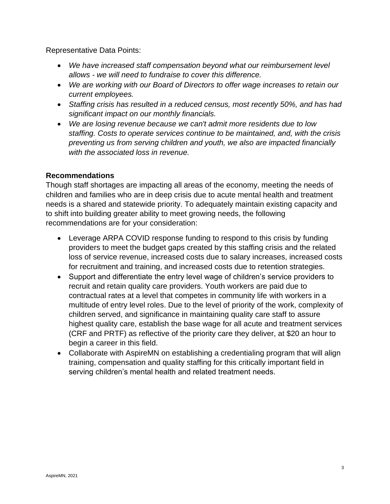Representative Data Points:

- *We have increased staff compensation beyond what our reimbursement level allows - we will need to fundraise to cover this difference.*
- *We are working with our Board of Directors to offer wage increases to retain our current employees.*
- *Staffing crisis has resulted in a reduced census, most recently 50%, and has had significant impact on our monthly financials.*
- *We are losing revenue because we can't admit more residents due to low staffing. Costs to operate services continue to be maintained, and, with the crisis preventing us from serving children and youth, we also are impacted financially with the associated loss in revenue.*

#### **Recommendations**

Though staff shortages are impacting all areas of the economy, meeting the needs of children and families who are in deep crisis due to acute mental health and treatment needs is a shared and statewide priority. To adequately maintain existing capacity and to shift into building greater ability to meet growing needs, the following recommendations are for your consideration:

- Leverage ARPA COVID response funding to respond to this crisis by funding providers to meet the budget gaps created by this staffing crisis and the related loss of service revenue, increased costs due to salary increases, increased costs for recruitment and training, and increased costs due to retention strategies.
- Support and differentiate the entry level wage of children's service providers to recruit and retain quality care providers. Youth workers are paid due to contractual rates at a level that competes in community life with workers in a multitude of entry level roles. Due to the level of priority of the work, complexity of children served, and significance in maintaining quality care staff to assure highest quality care, establish the base wage for all acute and treatment services (CRF and PRTF) as reflective of the priority care they deliver, at \$20 an hour to begin a career in this field.
- Collaborate with AspireMN on establishing a credentialing program that will align training, compensation and quality staffing for this critically important field in serving children's mental health and related treatment needs.